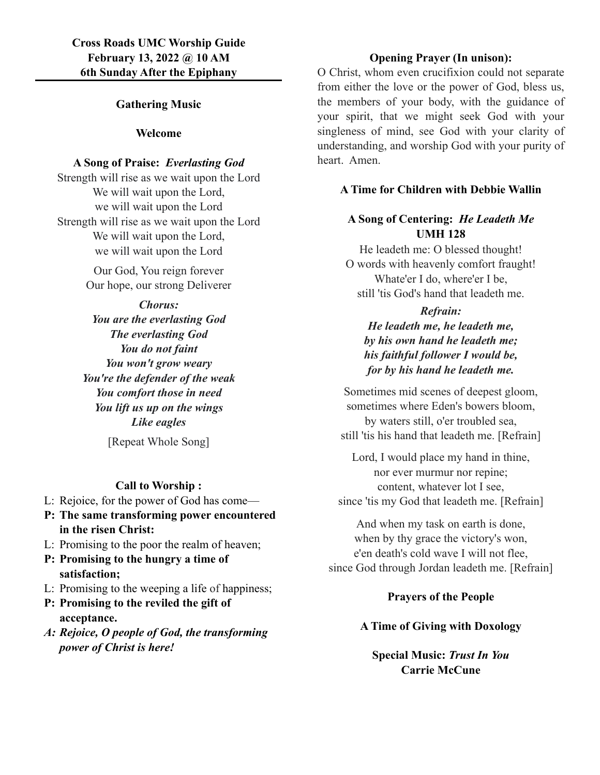## **Gathering Music**

### **Welcome**

### **A Song of Praise:** *Everlasting God*

Strength will rise as we wait upon the Lord We will wait upon the Lord, we will wait upon the Lord Strength will rise as we wait upon the Lord We will wait upon the Lord, we will wait upon the Lord

> Our God, You reign forever Our hope, our strong Deliverer

*Chorus: You are the everlasting God The everlasting God You do not faint You won't grow weary You're the defender of the weak You comfort those in need You lift us up on the wings Like eagles*

[Repeat Whole Song]

## **Call to Worship :**

- L: Rejoice, for the power of God has come—
- **P: The same transforming power encountered in the risen Christ:**
- L: Promising to the poor the realm of heaven;
- **P: Promising to the hungry a time of satisfaction;**
- L: Promising to the weeping a life of happiness;
- **P: Promising to the reviled the gift of acceptance.**
- *A: Rejoice, O people of God, the transforming power of Christ is here!*

### **Opening Prayer (In unison):**

O Christ, whom even crucifixion could not separate from either the love or the power of God, bless us, the members of your body, with the guidance of your spirit, that we might seek God with your singleness of mind, see God with your clarity of understanding, and worship God with your purity of heart. Amen.

### **A Time for Children with Debbie Wallin**

# **A Song of Centering:** *He Leadeth Me* **UMH 128**

He leadeth me: O blessed thought! O words with heavenly comfort fraught! Whate'er I do, where'er I be, still 'tis God's hand that leadeth me.

*Refrain: He leadeth me, he leadeth me, by his own hand he leadeth me; his faithful follower I would be, for by his hand he leadeth me.*

Sometimes mid scenes of deepest gloom, sometimes where Eden's bowers bloom, by waters still, o'er troubled sea, still 'tis his hand that leadeth me. [Refrain]

Lord, I would place my hand in thine, nor ever murmur nor repine; content, whatever lot I see, since 'tis my God that leadeth me. [Refrain]

And when my task on earth is done, when by thy grace the victory's won, e'en death's cold wave I will not flee, since God through Jordan leadeth me. [Refrain]

## **Prayers of the People**

## **A Time of Giving with Doxology**

**Special Music:** *Trust In You* **Carrie McCune**